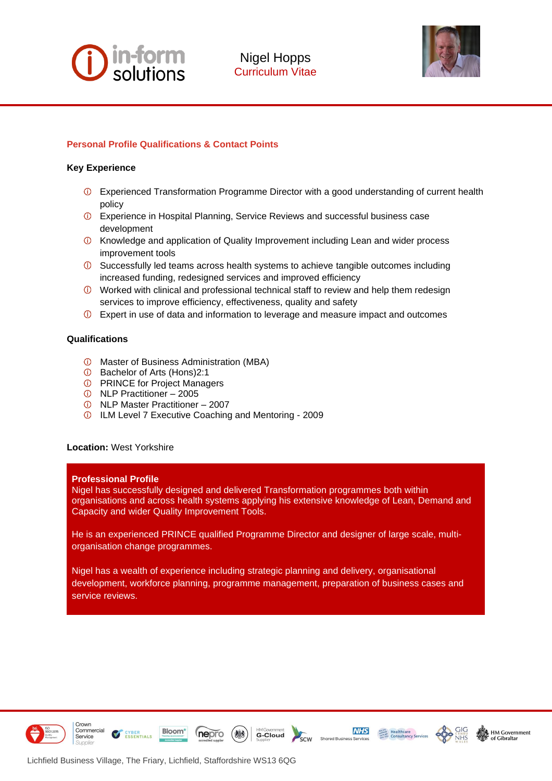# **in-form**<br>solutions



# **Personal Profile Qualifications & Contact Points**

## **Key Experience**

- Experienced Transformation Programme Director with a good understanding of current health policy
- Experience in Hospital Planning, Service Reviews and successful business case development
- Knowledge and application of Quality Improvement including Lean and wider process improvement tools
- $<sup>①</sup>$  Successfully led teams across health systems to achieve tangible outcomes including</sup> increased funding, redesigned services and improved efficiency
- Worked with clinical and professional technical staff to review and help them redesign services to improve efficiency, effectiveness, quality and safety
- Expert in use of data and information to leverage and measure impact and outcomes

## **Qualifications**

- Master of Business Administration (MBA)
- Bachelor of Arts (Hons)2:1
- *O* PRINCE for Project Managers
- NLP Practitioner 2005
- NLP Master Practitioner 2007
- ILM Level 7 Executive Coaching and Mentoring 2009

#### **Location:** West Yorkshire

#### **Professional Profile**

Nigel has successfully designed and delivered Transformation programmes both within organisations and across health systems applying his extensive knowledge of Lean, Demand and Capacity and wider Quality Improvement Tools.

He is an experienced PRINCE qualified Programme Director and designer of large scale, multiorganisation change programmes.

Nigel has a wealth of experience including strategic planning and delivery, organisational development, workforce planning, programme management, preparation of business cases and service reviews.



Crown

Service

Commercial







**ESSENTIALS** 

**Bloom** 

nepro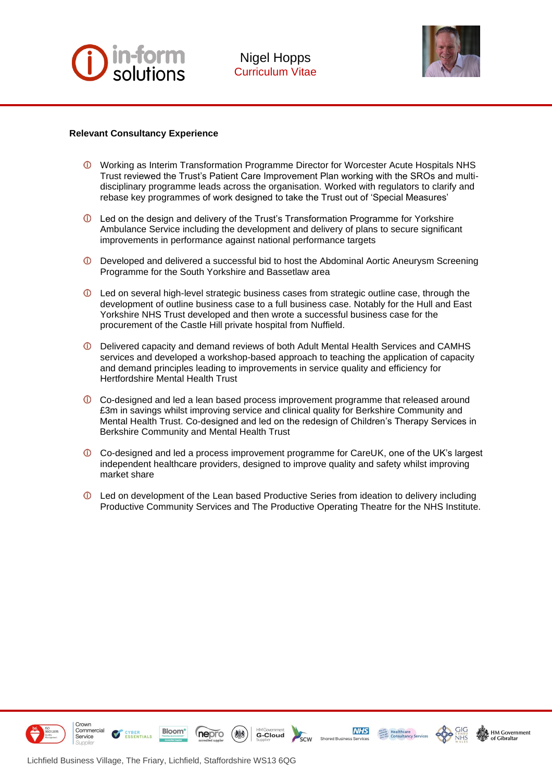



## **Relevant Consultancy Experience**

- Working as Interim Transformation Programme Director for Worcester Acute Hospitals NHS Trust reviewed the Trust's Patient Care Improvement Plan working with the SROs and multidisciplinary programme leads across the organisation. Worked with regulators to clarify and rebase key programmes of work designed to take the Trust out of 'Special Measures'
- Led on the design and delivery of the Trust's Transformation Programme for Yorkshire Ambulance Service including the development and delivery of plans to secure significant improvements in performance against national performance targets
- Developed and delivered a successful bid to host the Abdominal Aortic Aneurysm Screening Programme for the South Yorkshire and Bassetlaw area
- Led on several high-level strategic business cases from strategic outline case, through the development of outline business case to a full business case. Notably for the Hull and East Yorkshire NHS Trust developed and then wrote a successful business case for the procurement of the Castle Hill private hospital from Nuffield.
- Delivered capacity and demand reviews of both Adult Mental Health Services and CAMHS services and developed a workshop-based approach to teaching the application of capacity and demand principles leading to improvements in service quality and efficiency for Hertfordshire Mental Health Trust
- Co-designed and led a lean based process improvement programme that released around £3m in savings whilst improving service and clinical quality for Berkshire Community and Mental Health Trust. Co-designed and led on the redesign of Children's Therapy Services in Berkshire Community and Mental Health Trust
- $\overline{O}$  Co-designed and led a process improvement programme for CareUK, one of the UK's largest independent healthcare providers, designed to improve quality and safety whilst improving market share
- Led on development of the Lean based Productive Series from ideation to delivery including Productive Community Services and The Productive Operating Theatre for the NHS Institute.



Lichfield Business Village, The Friary, Lichfield, Staffordshire WS13 6QG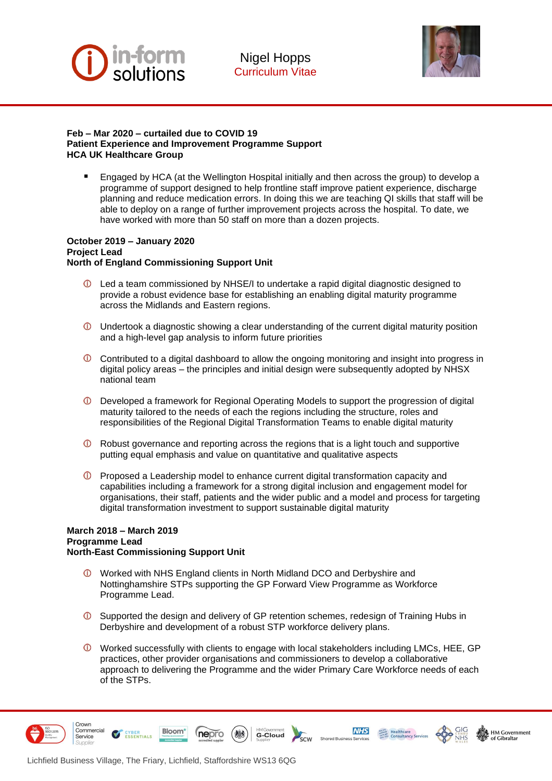



#### **Feb – Mar 2020 – curtailed due to COVID 19 Patient Experience and Improvement Programme Support HCA UK Healthcare Group**

Engaged by HCA (at the Wellington Hospital initially and then across the group) to develop a programme of support designed to help frontline staff improve patient experience, discharge planning and reduce medication errors. In doing this we are teaching QI skills that staff will be able to deploy on a range of further improvement projects across the hospital. To date, we have worked with more than 50 staff on more than a dozen projects.

#### **October 2019 – January 2020 Project Lead North of England Commissioning Support Unit**

- $\bullet$  Led a team commissioned by NHSE/I to undertake a rapid digital diagnostic designed to provide a robust evidence base for establishing an enabling digital maturity programme across the Midlands and Eastern regions.
- $\mathbb O$  Undertook a diagnostic showing a clear understanding of the current digital maturity position and a high-level gap analysis to inform future priorities
- $\overline{O}$  Contributed to a digital dashboard to allow the ongoing monitoring and insight into progress in digital policy areas – the principles and initial design were subsequently adopted by NHSX national team
- Developed a framework for Regional Operating Models to support the progression of digital maturity tailored to the needs of each the regions including the structure, roles and responsibilities of the Regional Digital Transformation Teams to enable digital maturity
- **C** Robust governance and reporting across the regions that is a light touch and supportive putting equal emphasis and value on quantitative and qualitative aspects
- $\bullet$  Proposed a Leadership model to enhance current digital transformation capacity and capabilities including a framework for a strong digital inclusion and engagement model for organisations, their staff, patients and the wider public and a model and process for targeting digital transformation investment to support sustainable digital maturity

## **March 2018 – March 2019 Programme Lead North-East Commissioning Support Unit**

- Worked with NHS England clients in North Midland DCO and Derbyshire and Nottinghamshire STPs supporting the GP Forward View Programme as Workforce Programme Lead.
- Supported the design and delivery of GP retention schemes, redesign of Training Hubs in Derbyshire and development of a robust STP workforce delivery plans.
- Worked successfully with clients to engage with local stakeholders including LMCs, HEE, GP practices, other provider organisations and commissioners to develop a collaborative approach to delivering the Programme and the wider Primary Care Workforce needs of each of the STPs.



Crown

Service

Commercial

 $\blacktriangledown$ 





**NHS** 

Shared B



**Bloom**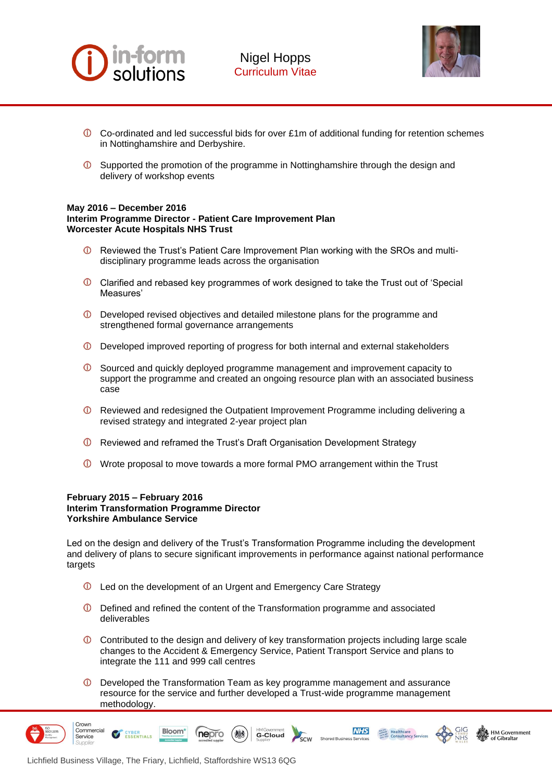



- $\overline{O}$  Co-ordinated and led successful bids for over £1m of additional funding for retention schemes in Nottinghamshire and Derbyshire.
- $\circled{1}$  Supported the promotion of the programme in Nottinghamshire through the design and delivery of workshop events

#### **May 2016 – December 2016 Interim Programme Director - Patient Care Improvement Plan Worcester Acute Hospitals NHS Trust**

- Reviewed the Trust's Patient Care Improvement Plan working with the SROs and multidisciplinary programme leads across the organisation
- Clarified and rebased key programmes of work designed to take the Trust out of 'Special Measures'
- Developed revised objectives and detailed milestone plans for the programme and strengthened formal governance arrangements
- Developed improved reporting of progress for both internal and external stakeholders
- Sourced and quickly deployed programme management and improvement capacity to support the programme and created an ongoing resource plan with an associated business case
- Reviewed and redesigned the Outpatient Improvement Programme including delivering a revised strategy and integrated 2-year project plan
- **C** Reviewed and reframed the Trust's Draft Organisation Development Strategy
- Wrote proposal to move towards a more formal PMO arrangement within the Trust

## **February 2015 – February 2016 Interim Transformation Programme Director Yorkshire Ambulance Service**

Led on the design and delivery of the Trust's Transformation Programme including the development and delivery of plans to secure significant improvements in performance against national performance targets

- **C** Led on the development of an Urgent and Emergency Care Strategy
- Defined and refined the content of the Transformation programme and associated deliverables
- Contributed to the design and delivery of key transformation projects including large scale changes to the Accident & Emergency Service, Patient Transport Service and plans to integrate the 111 and 999 call centres
- $\odot$ Developed the Transformation Team as key programme management and assurance resource for the service and further developed a Trust-wide programme management methodology.

G-Cloud

scw Sho **NHS** 

**HM Government** 



Crown Commercial

Service

**ESSENTIALS** 

**Bloom** 

nepro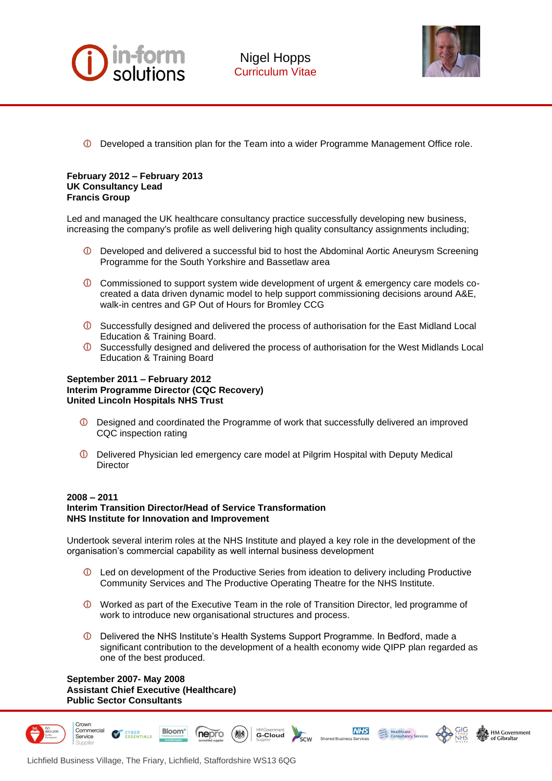



 $\circledcirc$ Developed a transition plan for the Team into a wider Programme Management Office role.

#### **February 2012 – February 2013 UK Consultancy Lead Francis Group**

Led and managed the UK healthcare consultancy practice successfully developing new business, increasing the company's profile as well delivering high quality consultancy assignments including;

- Developed and delivered a successful bid to host the Abdominal Aortic Aneurysm Screening Programme for the South Yorkshire and Bassetlaw area
- Commissioned to support system wide development of urgent & emergency care models cocreated a data driven dynamic model to help support commissioning decisions around A&E, walk-in centres and GP Out of Hours for Bromley CCG
- Successfully designed and delivered the process of authorisation for the East Midland Local Education & Training Board.
- Successfully designed and delivered the process of authorisation for the West Midlands Local Education & Training Board

## **September 2011 – February 2012 Interim Programme Director (CQC Recovery) United Lincoln Hospitals NHS Trust**

- Designed and coordinated the Programme of work that successfully delivered an improved CQC inspection rating
- Delivered Physician led emergency care model at Pilgrim Hospital with Deputy Medical **Director**

## **2008 – 2011 Interim Transition Director/Head of Service Transformation NHS Institute for Innovation and Improvement**

Undertook several interim roles at the NHS Institute and played a key role in the development of the organisation's commercial capability as well internal business development

- Led on development of the Productive Series from ideation to delivery including Productive Community Services and The Productive Operating Theatre for the NHS Institute.
- Worked as part of the Executive Team in the role of Transition Director, led programme of work to introduce new organisational structures and process.
- Delivered the NHS Institute's Health Systems Support Programme. In Bedford, made a significant contribution to the development of a health economy wide QIPP plan regarded as one of the best produced.

G-Cloud

 $\overline{\text{sc}}$ w

**NHS** 

**HM Government** 

**September 2007- May 2008 Assistant Chief Executive (Healthcare) Public Sector Consultants** 

**ESSENTIALS** 



Crown Commercial

**Bloom** 

nepro